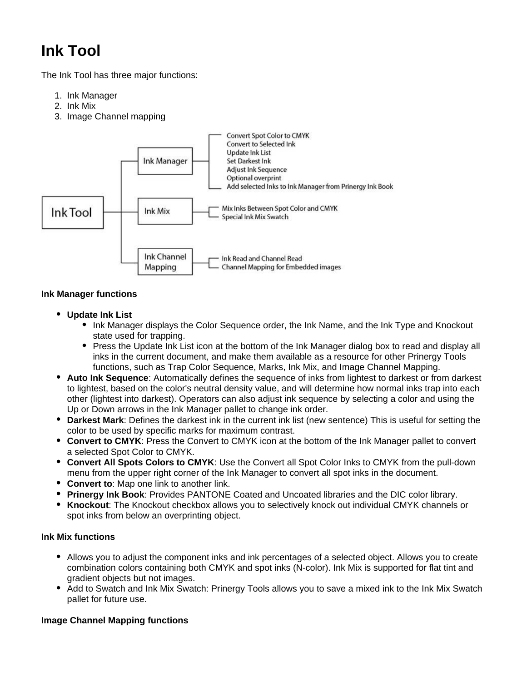# **Ink Tool**

The Ink Tool has three major functions:

- 1. Ink Manager
- 2. Ink Mix
- 3. Image Channel mapping



#### **Ink Manager functions**

- **Update Ink List**
	- Ink Manager displays the Color Sequence order, the Ink Name, and the Ink Type and Knockout state used for trapping.
	- Press the Update Ink List icon at the bottom of the Ink Manager dialog box to read and display all inks in the current document, and make them available as a resource for other Prinergy Tools functions, such as Trap Color Sequence, Marks, Ink Mix, and Image Channel Mapping.
- **Auto Ink Sequence**: Automatically defines the sequence of inks from lightest to darkest or from darkest to lightest, based on the color's neutral density value, and will determine how normal inks trap into each other (lightest into darkest). Operators can also adjust ink sequence by selecting a color and using the Up or Down arrows in the Ink Manager pallet to change ink order.
- **Darkest Mark**: Defines the darkest ink in the current ink list (new sentence) This is useful for setting the color to be used by specific marks for maximum contrast.
- **Convert to CMYK**: Press the Convert to CMYK icon at the bottom of the Ink Manager pallet to convert a selected Spot Color to CMYK.
- **Convert All Spots Colors to CMYK**: Use the Convert all Spot Color Inks to CMYK from the pull-down menu from the upper right corner of the Ink Manager to convert all spot inks in the document.
- **Convert to**: Map one link to another link.
- **Prinergy Ink Book**: Provides PANTONE Coated and Uncoated libraries and the DIC color library.
- $\bullet$ **Knockout**: The Knockout checkbox allows you to selectively knock out individual CMYK channels or spot inks from below an overprinting object.

## **Ink Mix functions**

- Allows you to adjust the component inks and ink percentages of a selected object. Allows you to create combination colors containing both CMYK and spot inks (N-color). Ink Mix is supported for flat tint and gradient objects but not images.
- Add to Swatch and Ink Mix Swatch: Prinergy Tools allows you to save a mixed ink to the Ink Mix Swatch pallet for future use.

## **Image Channel Mapping functions**